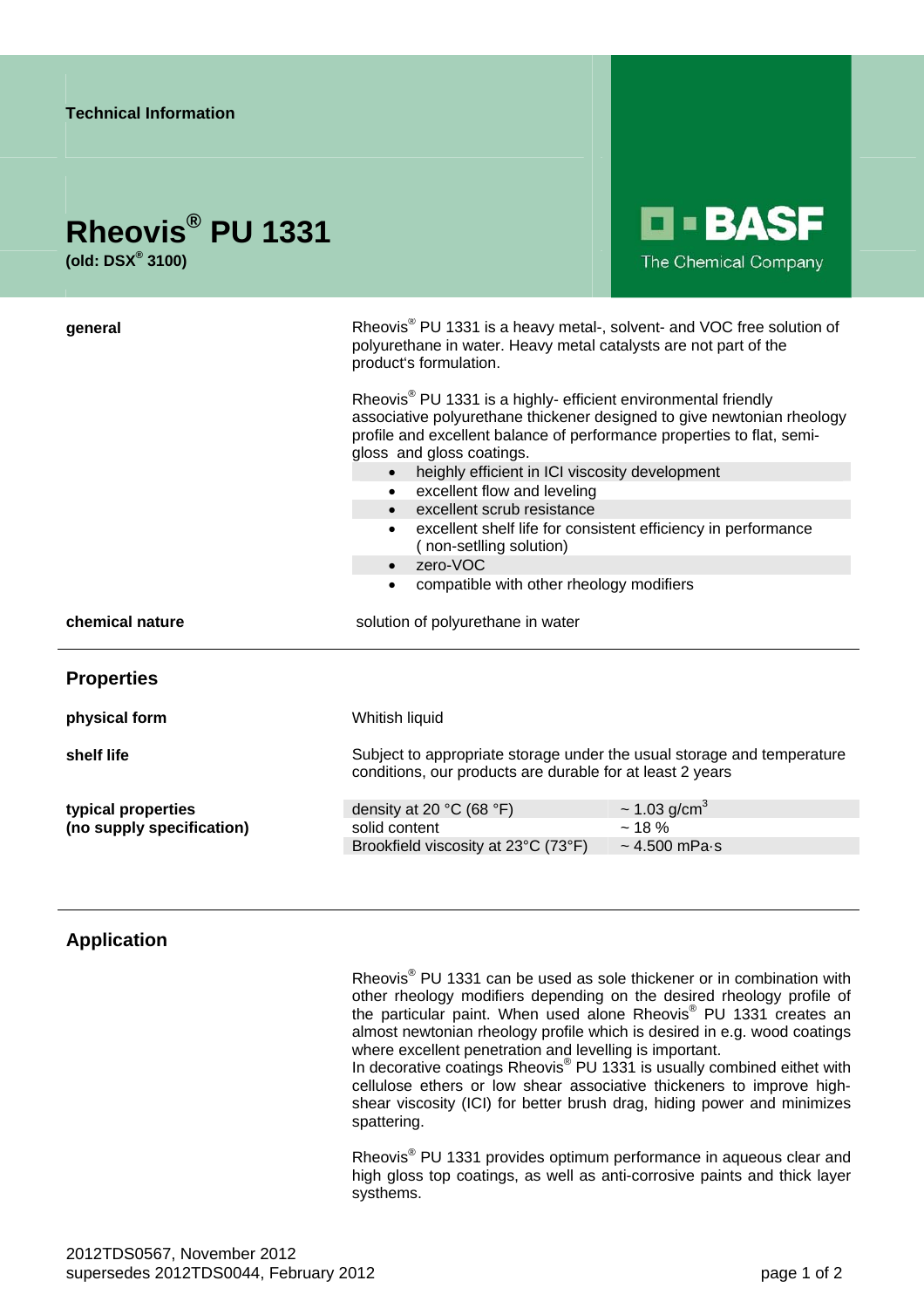| <b>Technical Information</b>                                    |                                                                                                                                                                                                                                                                                                                                                                                                                                                                                                                                                                                                                                                                                                                                                                                      |  |
|-----------------------------------------------------------------|--------------------------------------------------------------------------------------------------------------------------------------------------------------------------------------------------------------------------------------------------------------------------------------------------------------------------------------------------------------------------------------------------------------------------------------------------------------------------------------------------------------------------------------------------------------------------------------------------------------------------------------------------------------------------------------------------------------------------------------------------------------------------------------|--|
| Rheovis <sup>®</sup> PU 1331<br>(old: $DSX^{\circledast}$ 3100) | <b>O-BASF</b><br>The Chemical Company                                                                                                                                                                                                                                                                                                                                                                                                                                                                                                                                                                                                                                                                                                                                                |  |
| general                                                         | Rheovis <sup>®</sup> PU 1331 is a heavy metal-, solvent- and VOC free solution of<br>polyurethane in water. Heavy metal catalysts are not part of the<br>product's formulation.<br>Rheovis <sup>®</sup> PU 1331 is a highly- efficient environmental friendly<br>associative polyurethane thickener designed to give newtonian rheology<br>profile and excellent balance of performance properties to flat, semi-<br>gloss and gloss coatings.<br>heighly efficient in ICI viscosity development<br>$\bullet$<br>excellent flow and leveling<br>$\bullet$<br>• excellent scrub resistance<br>excellent shelf life for consistent efficiency in performance<br>$\bullet$<br>(non-setlling solution)<br>zero-VOC<br>$\bullet$<br>compatible with other rheology modifiers<br>$\bullet$ |  |
| chemical nature                                                 | solution of polyurethane in water                                                                                                                                                                                                                                                                                                                                                                                                                                                                                                                                                                                                                                                                                                                                                    |  |
| <b>Properties</b>                                               |                                                                                                                                                                                                                                                                                                                                                                                                                                                                                                                                                                                                                                                                                                                                                                                      |  |
| physical form                                                   | Whitish liquid                                                                                                                                                                                                                                                                                                                                                                                                                                                                                                                                                                                                                                                                                                                                                                       |  |
| shelf life                                                      | Subject to appropriate storage under the usual storage and temperature<br>conditions, our products are durable for at least 2 years                                                                                                                                                                                                                                                                                                                                                                                                                                                                                                                                                                                                                                                  |  |
| typical properties<br>(no supply specification)                 | $\sim$ 1.03 g/cm <sup>3</sup><br>density at 20 $^{\circ}$ C (68 $^{\circ}$ F)<br>solid content<br>~18%<br>$\sim$ 4.500 mPa $\cdot$ s<br>Brookfield viscosity at 23°C (73°F)                                                                                                                                                                                                                                                                                                                                                                                                                                                                                                                                                                                                          |  |

## **Application**

Rheovis<sup>®</sup> PU 1331 can be used as sole thickener or in combination with other rheology modifiers depending on the desired rheology profile of the particular paint. When used alone Rheovis® PU 1331 creates an almost newtonian rheology profile which is desired in e.g. wood coatings where excellent penetration and levelling is important.

In decorative coatings Rheovis<sup>®</sup> PU 1331 is usually combined eithet with cellulose ethers or low shear associative thickeners to improve highshear viscosity (ICI) for better brush drag, hiding power and minimizes spattering.

Rheovis<sup>®</sup> PU 1331 provides optimum performance in aqueous clear and high gloss top coatings, as well as anti-corrosive paints and thick layer systhems.